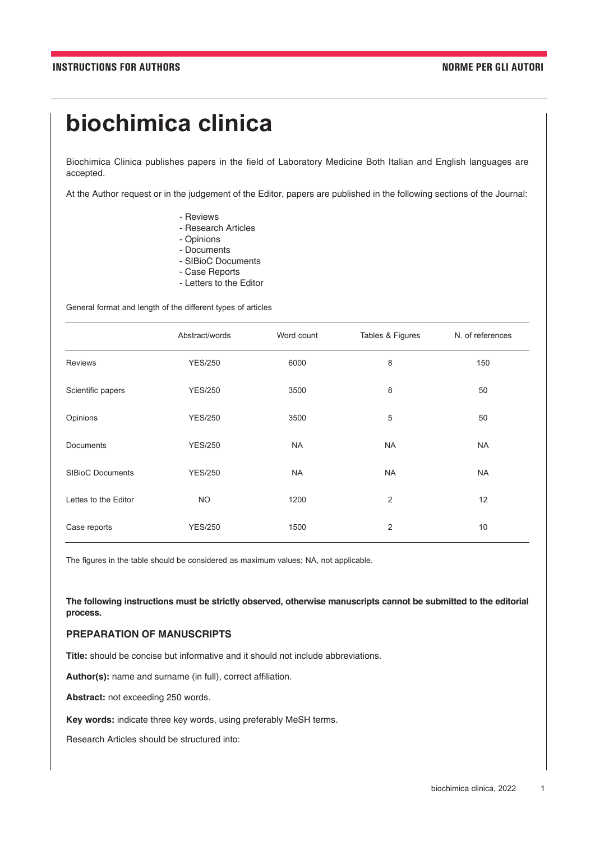# **biochimica clinica**

Biochimica Clinica publishes papers in the field of Laboratory Medicine Both Italian and English languages are accepted.

At the Author request or in the judgement of the Editor, papers are published in the following sections of the Journal:

- Reviews
- Research Articles
- Opinions
- Documents
- SIBioC Documents
- Case Reports
- Letters to the Editor

General format and length of the different types of articles

|                         | Abstract/words | Word count | Tables & Figures | N. of references |
|-------------------------|----------------|------------|------------------|------------------|
| <b>Reviews</b>          | <b>YES/250</b> | 6000       | 8                | 150              |
| Scientific papers       | <b>YES/250</b> | 3500       | 8                | 50               |
| Opinions                | <b>YES/250</b> | 3500       | 5                | 50               |
| <b>Documents</b>        | <b>YES/250</b> | <b>NA</b>  | <b>NA</b>        | <b>NA</b>        |
| <b>SIBioC Documents</b> | <b>YES/250</b> | <b>NA</b>  | <b>NA</b>        | <b>NA</b>        |
| Lettes to the Editor    | <b>NO</b>      | 1200       | 2                | 12               |
| Case reports            | <b>YES/250</b> | 1500       | 2                | 10               |

The figures in the table should be considered as maximum values; NA, not applicable.

**The following instructions must be strictly observed, otherwise manuscripts cannot be submitted to the editorial process.**

# **PREPARATION OF MANUSCRIPTS**

**Title:** should be concise but informative and it should not include abbreviations.

**Author(s):** name and surname (in full), correct affiliation.

Abstract: not exceeding 250 words.

**Key words:** indicate three key words, using preferably MeSH terms.

Research Articles should be structured into: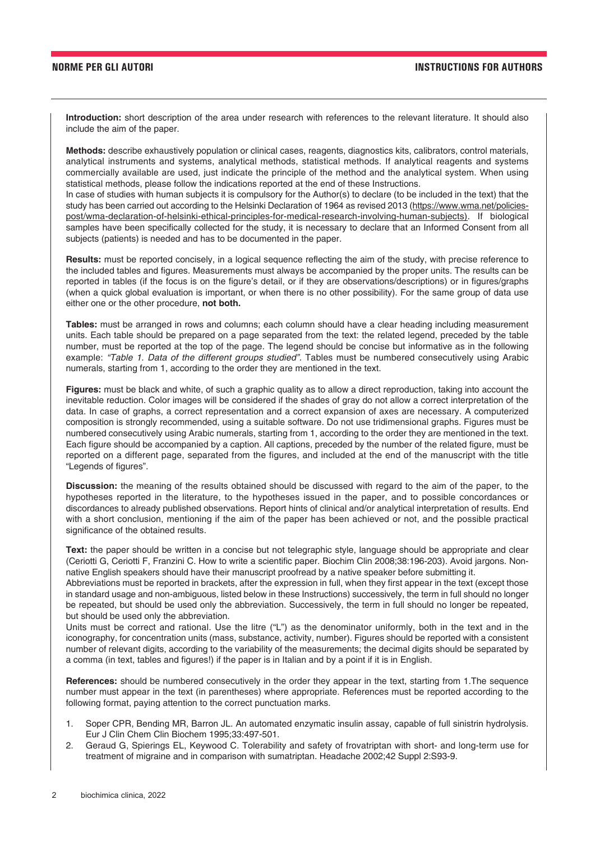**Introduction:** short description of the area under research with references to the relevant literature. It should also include the aim of the paper.

**Methods:** describe exhaustively population or clinical cases, reagents, diagnostics kits, calibrators, control materials, analytical instruments and systems, analytical methods, statistical methods. If analytical reagents and systems commercially available are used, just indicate the principle of the method and the analytical system. When using statistical methods, please follow the indications reported at the end of these Instructions.

In case of studies with human subjects it is compulsory for the Author(s) to declare (to be included in the text) that the study has been carried out according to the Helsinki Declaration of 1964 as revised 2013 (https://www.wma.net/policiespost/wma-declaration-of-helsinki-ethical-principles-for-medical-research-involving-human-subjects). If biological samples have been specifically collected for the study, it is necessary to declare that an Informed Consent from all subjects (patients) is needed and has to be documented in the paper.

**Results:** must be reported concisely, in a logical sequence reflecting the aim of the study, with precise reference to the included tables and figures. Measurements must always be accompanied by the proper units. The results can be reported in tables (if the focus is on the figure's detail, or if they are observations/descriptions) or in figures/graphs (when a quick global evaluation is important, or when there is no other possibility). For the same group of data use either one or the other procedure, **not both.** 

**Tables:** must be arranged in rows and columns; each column should have a clear heading including measurement units. Each table should be prepared on a page separated from the text: the related legend, preceded by the table number, must be reported at the top of the page. The legend should be concise but informative as in the following example: *"Table 1. Data of the different groups studied".* Tables must be numbered consecutively using Arabic numerals, starting from 1, according to the order they are mentioned in the text.

**Figures:** must be black and white, of such a graphic quality as to allow a direct reproduction, taking into account the inevitable reduction. Color images will be considered if the shades of gray do not allow a correct interpretation of the data. In case of graphs, a correct representation and a correct expansion of axes are necessary. A computerized composition is strongly recommended, using a suitable software. Do not use tridimensional graphs. Figures must be numbered consecutively using Arabic numerals, starting from 1, according to the order they are mentioned in the text. Each figure should be accompanied by a caption. All captions, preceded by the number of the related figure, must be reported on a different page, separated from the figures, and included at the end of the manuscript with the title "Legends of figures".

**Discussion:** the meaning of the results obtained should be discussed with regard to the aim of the paper, to the hypotheses reported in the literature, to the hypotheses issued in the paper, and to possible concordances or discordances to already published observations. Report hints of clinical and/or analytical interpretation of results. End with a short conclusion, mentioning if the aim of the paper has been achieved or not, and the possible practical significance of the obtained results.

**Text:** the paper should be written in a concise but not telegraphic style, language should be appropriate and clear (Ceriotti G, Ceriotti F, Franzini C. How to write a scientific paper. Biochim Clin 2008;38:196-203). Avoid jargons. Nonnative English speakers should have their manuscript proofread by a native speaker before submitting it.

Abbreviations must be reported in brackets, after the expression in full, when they first appear in the text (except those in standard usage and non-ambiguous, listed below in these Instructions) successively, the term in full should no longer be repeated, but should be used only the abbreviation. Successively, the term in full should no longer be repeated, but should be used only the abbreviation.

Units must be correct and rational. Use the litre ("L") as the denominator uniformly, both in the text and in the iconography, for concentration units (mass, substance, activity, number). Figures should be reported with a consistent number of relevant digits, according to the variability of the measurements; the decimal digits should be separated by a comma (in text, tables and figures!) if the paper is in Italian and by a point if it is in English.

**References:** should be numbered consecutively in the order they appear in the text, starting from 1.The sequence number must appear in the text (in parentheses) where appropriate. References must be reported according to the following format, paying attention to the correct punctuation marks.

- 1. Soper CPR, Bending MR, Barron JL. An automated enzymatic insulin assay, capable of full sinistrin hydrolysis. Eur J Clin Chem Clin Biochem 1995;33:497-501.
- 2. Geraud G, Spierings EL, Keywood C. Tolerability and safety of frovatriptan with short- and long-term use for treatment of migraine and in comparison with sumatriptan. Headache 2002;42 Suppl 2:S93-9.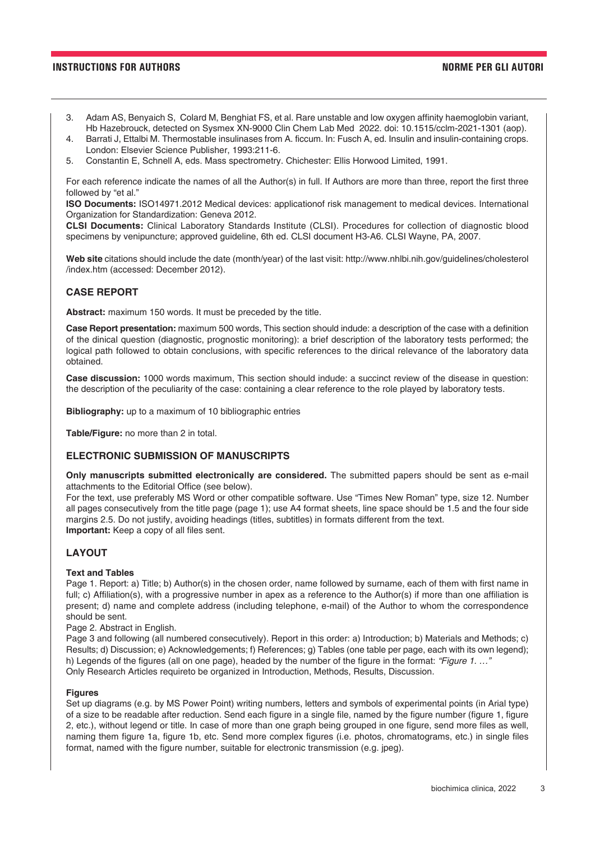### **INSTRUCTIONS FOR AUTHORS NORME PER GLI AUTORI**

- 3. Adam AS, Benyaich S, Colard M, Benghiat FS, et al. Rare unstable and low oxygen affinity haemoglobin variant, Hb Hazebrouck, detected on Sysmex XN-9000 Clin Chem Lab Med 2022. doi: 10.1515/cclm-2021-1301 (aop).
- 4. Barrati J, Ettalbi M. Thermostable insulinases from A. ficcum. In: Fusch A, ed. Insulin and insulin-containing crops. London: Elsevier Science Publisher, 1993:211-6.
- 5. Constantin E, Schnell A, eds. Mass spectrometry. Chichester: Ellis Horwood Limited, 1991.

For each reference indicate the names of all the Author(s) in full. If Authors are more than three, report the first three followed by "et al."

**ISO Documents:** ISO14971.2012 Medical devices: applicationof risk management to medical devices. International Organization for Standardization: Geneva 2012.

**CLSI Documents:** Clinical Laboratory Standards Institute (CLSI). Procedures for collection of diagnostic blood specimens by venipuncture; approved guideline, 6th ed. CLSI document H3-A6. CLSI Wayne, PA, 2007.

**Web site** citations should include the date (month/year) of the last visit: http://www.nhlbi.nih.gov/guidelines/cholesterol /index.htm (accessed: December 2012).

### **CASE REPORT**

**Abstract:** maximum 150 words. It must be preceded by the title.

**Case Report presentation:** maximum 500 words, This section should indude: a description of the case with a definition of the dinical question (diagnostic, prognostic monitoring): a brief description of the laboratory tests performed; the logical path followed to obtain conclusions, with specific references to the dirical relevance of the laboratory data obtained.

**Case discussion:** 1000 words maximum, This section should indude: a succinct review of the disease in question: the description of the peculiarity of the case: containing a clear reference to the role played by laboratory tests.

**Bibliography:** up to a maximum of 10 bibliographic entries

**Table/Figure:** no more than 2 in total.

### **ELECTRONIC SUBMISSION OF MANUSCRIPTS**

**Only manuscripts submitted electronically are considered.** The submitted papers should be sent as e-mail attachments to the Editorial Office (see below).

For the text, use preferably MS Word or other compatible software. Use "Times New Roman" type, size 12. Number all pages consecutively from the title page (page 1); use A4 format sheets, line space should be 1.5 and the four side margins 2.5. Do not justify, avoiding headings (titles, subtitles) in formats different from the text. **Important:** Keep a copy of all files sent.

# **LAYOUT**

### **Text and Tables**

Page 1. Report: a) Title; b) Author(s) in the chosen order, name followed by surname, each of them with first name in full; c) Affiliation(s), with a progressive number in apex as a reference to the Author(s) if more than one affiliation is present; d) name and complete address (including telephone, e-mail) of the Author to whom the correspondence should be sent.

Page 2. Abstract in English.

Page 3 and following (all numbered consecutively). Report in this order: a) Introduction; b) Materials and Methods; c) Results; d) Discussion; e) Acknowledgements; f) References; g) Tables (one table per page, each with its own legend); h) Legends of the figures (all on one page), headed by the number of the figure in the format: *"Figure 1. …"*  Only Research Articles requireto be organized in Introduction, Methods, Results, Discussion.

### **Figures**

Set up diagrams (e.g. by MS Power Point) writing numbers, letters and symbols of experimental points (in Arial type) of a size to be readable after reduction. Send each figure in a single file, named by the figure number (figure 1, figure 2, etc.), without legend or title. In case of more than one graph being grouped in one figure, send more files as well, naming them figure 1a, figure 1b, etc. Send more complex figures (i.e. photos, chromatograms, etc.) in single files format, named with the figure number, suitable for electronic transmission (e.g. jpeg).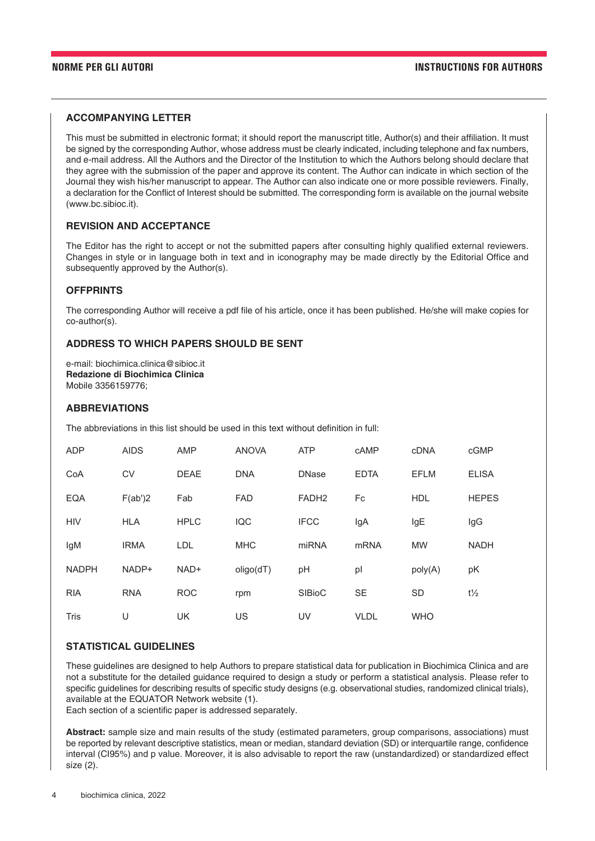# **ACCOMPANYING LETTER**

This must be submitted in electronic format; it should report the manuscript title, Author(s) and their affiliation. It must be signed by the corresponding Author, whose address must be clearly indicated, including telephone and fax numbers, and e-mail address. All the Authors and the Director of the Institution to which the Authors belong should declare that they agree with the submission of the paper and approve its content. The Author can indicate in which section of the Journal they wish his/her manuscript to appear. The Author can also indicate one or more possible reviewers. Finally, a declaration for the Conflict of Interest should be submitted. The corresponding form is available on the journal website (www.bc.sibioc.it).

# **REVISION AND ACCEPTANCE**

The Editor has the right to accept or not the submitted papers after consulting highly qualified external reviewers. Changes in style or in language both in text and in iconography may be made directly by the Editorial Office and subsequently approved by the Author(s).

# **OFFPRINTS**

The corresponding Author will receive a pdf file of his article, once it has been published. He/she will make copies for co-author(s).

# **ADDRESS TO WHICH PAPERS SHOULD BE SENT**

e-mail: biochimica.clinica@sibioc.it **Redazione di Biochimica Clinica**  Mobile 3356159776;

### **ABBREVIATIONS**

The abbreviations in this list should be used in this text without definition in full:

| <b>ADP</b>   | <b>AIDS</b> | <b>AMP</b>  | <b>ANOVA</b> | <b>ATP</b>        | cAMP        | <b>cDNA</b> | cGMP           |
|--------------|-------------|-------------|--------------|-------------------|-------------|-------------|----------------|
| CoA          | CV          | <b>DEAE</b> | <b>DNA</b>   | <b>DNase</b>      | <b>EDTA</b> | <b>EFLM</b> | <b>ELISA</b>   |
| <b>EQA</b>   | F(ab')2     | Fab         | <b>FAD</b>   | FADH <sub>2</sub> | Fc          | <b>HDL</b>  | <b>HEPES</b>   |
| <b>HIV</b>   | <b>HLA</b>  | <b>HPLC</b> | <b>IQC</b>   | <b>IFCC</b>       | IgA         | IgE         | lgG            |
| IgM          | <b>IRMA</b> | LDL         | <b>MHC</b>   | miRNA             | <b>mRNA</b> | <b>MW</b>   | <b>NADH</b>    |
| <b>NADPH</b> | NADP+       | NAD+        | oligo(dT)    | pH                | pl          | poly(A)     | pK             |
| <b>RIA</b>   | <b>RNA</b>  | <b>ROC</b>  | rpm          | <b>SIBioC</b>     | <b>SE</b>   | <b>SD</b>   | $t\frac{1}{2}$ |
| <b>Tris</b>  | U           | <b>UK</b>   | US           | UV                | <b>VLDL</b> | <b>WHO</b>  |                |

### **STATISTICAL GUIDELINES**

These guidelines are designed to help Authors to prepare statistical data for publication in Biochimica Clinica and are not a substitute for the detailed guidance required to design a study or perform a statistical analysis. Please refer to specific guidelines for describing results of specific study designs (e.g. observational studies, randomized clinical trials), available at the EQUATOR Network website (1).

Each section of a scientific paper is addressed separately.

**Abstract:** sample size and main results of the study (estimated parameters, group comparisons, associations) must be reported by relevant descriptive statistics, mean or median, standard deviation (SD) or interquartile range, confidence interval (CI95%) and p value. Moreover, it is also advisable to report the raw (unstandardized) or standardized effect size (2).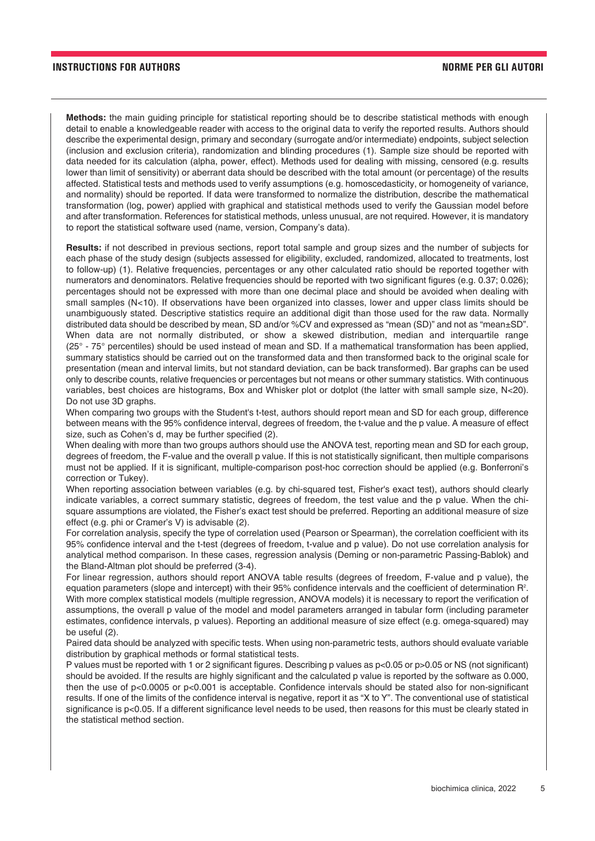### **INSTRUCTIONS FOR AUTHORS NORME PER GLI AUTORI**

**Methods:** the main guiding principle for statistical reporting should be to describe statistical methods with enough detail to enable a knowledgeable reader with access to the original data to verify the reported results. Authors should describe the experimental design, primary and secondary (surrogate and/or intermediate) endpoints, subject selection (inclusion and exclusion criteria), randomization and blinding procedures (1). Sample size should be reported with data needed for its calculation (alpha, power, effect). Methods used for dealing with missing, censored (e.g. results lower than limit of sensitivity) or aberrant data should be described with the total amount (or percentage) of the results affected. Statistical tests and methods used to verify assumptions (e.g. homoscedasticity, or homogeneity of variance, and normality) should be reported. If data were transformed to normalize the distribution, describe the mathematical transformation (log, power) applied with graphical and statistical methods used to verify the Gaussian model before and after transformation. References for statistical methods, unless unusual, are not required. However, it is mandatory to report the statistical software used (name, version, Company's data).

**Results:** if not described in previous sections, report total sample and group sizes and the number of subjects for each phase of the study design (subjects assessed for eligibility, excluded, randomized, allocated to treatments, lost to follow-up) (1). Relative frequencies, percentages or any other calculated ratio should be reported together with numerators and denominators. Relative frequencies should be reported with two significant figures (e.g. 0.37; 0.026); percentages should not be expressed with more than one decimal place and should be avoided when dealing with small samples (N<10). If observations have been organized into classes, lower and upper class limits should be unambiguously stated. Descriptive statistics require an additional digit than those used for the raw data. Normally distributed data should be described by mean, SD and/or %CV and expressed as "mean (SD)" and not as "mean±SD". When data are not normally distributed, or show a skewed distribution, median and interquartile range (25° - 75° percentiles) should be used instead of mean and SD. If a mathematical transformation has been applied, summary statistics should be carried out on the transformed data and then transformed back to the original scale for presentation (mean and interval limits, but not standard deviation, can be back transformed). Bar graphs can be used only to describe counts, relative frequencies or percentages but not means or other summary statistics. With continuous variables, best choices are histograms, Box and Whisker plot or dotplot (the latter with small sample size, N<20). Do not use 3D graphs.

When comparing two groups with the Student's t-test, authors should report mean and SD for each group, difference between means with the 95% confidence interval, degrees of freedom, the t-value and the p value. A measure of effect size, such as Cohen's d, may be further specified (2).

When dealing with more than two groups authors should use the ANOVA test, reporting mean and SD for each group, degrees of freedom, the F-value and the overall p value. If this is not statistically significant, then multiple comparisons must not be applied. If it is significant, multiple-comparison post-hoc correction should be applied (e.g. Bonferroni's correction or Tukey).

When reporting association between variables (e.g. by chi-squared test, Fisher's exact test), authors should clearly indicate variables, a correct summary statistic, degrees of freedom, the test value and the p value. When the chisquare assumptions are violated, the Fisher's exact test should be preferred. Reporting an additional measure of size effect (e.g. phi or Cramer's V) is advisable (2).

For correlation analysis, specify the type of correlation used (Pearson or Spearman), the correlation coefficient with its 95% confidence interval and the t-test (degrees of freedom, t-value and p value). Do not use correlation analysis for analytical method comparison. In these cases, regression analysis (Deming or non-parametric Passing-Bablok) and the Bland-Altman plot should be preferred (3-4).

For linear regression, authors should report ANOVA table results (degrees of freedom, F-value and p value), the equation parameters (slope and intercept) with their 95% confidence intervals and the coefficient of determination R<sup>2</sup>. With more complex statistical models (multiple regression, ANOVA models) it is necessary to report the verification of assumptions, the overall p value of the model and model parameters arranged in tabular form (including parameter estimates, confidence intervals, p values). Reporting an additional measure of size effect (e.g. omega-squared) may be useful (2).

Paired data should be analyzed with specific tests. When using non-parametric tests, authors should evaluate variable distribution by graphical methods or formal statistical tests.

P values must be reported with 1 or 2 significant figures. Describing p values as p<0.05 or p>0.05 or NS (not significant) should be avoided. If the results are highly significant and the calculated p value is reported by the software as 0.000, then the use of p<0.0005 or p<0.001 is acceptable. Confidence intervals should be stated also for non-significant results. If one of the limits of the confidence interval is negative, report it as "X to Y". The conventional use of statistical significance is p<0.05. If a different significance level needs to be used, then reasons for this must be clearly stated in the statistical method section.